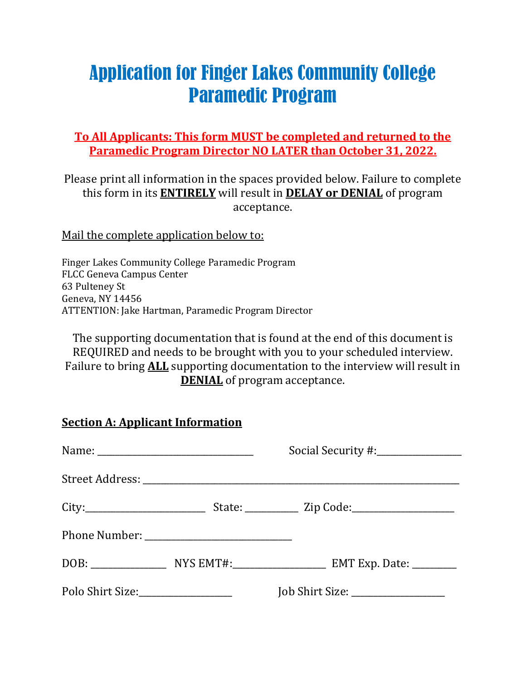# Application for Finger Lakes Community College Paramedic Program

**To All Applicants: This form MUST be completed and returned to the Paramedic Program Director NO LATER than October 31, 2022.**

Please print all information in the spaces provided below. Failure to complete this form in its **ENTIRELY** will result in **DELAY or DENIAL** of program acceptance.

Mail the complete application below to:

Finger Lakes Community College Paramedic Program FLCC Geneva Campus Center 63 Pulteney St Geneva, NY 14456 ATTENTION: Jake Hartman, Paramedic Program Director

The supporting documentation that is found at the end of this document is REQUIRED and needs to be brought with you to your scheduled interview. Failure to bring **ALL** supporting documentation to the interview will result in **DENIAL** of program acceptance.

| <b>Section A: Applicant Information</b> |  |                                   |  |  |  |
|-----------------------------------------|--|-----------------------------------|--|--|--|
|                                         |  |                                   |  |  |  |
|                                         |  |                                   |  |  |  |
|                                         |  |                                   |  |  |  |
|                                         |  |                                   |  |  |  |
|                                         |  |                                   |  |  |  |
| Polo Shirt Size:________________        |  | Job Shirt Size: _________________ |  |  |  |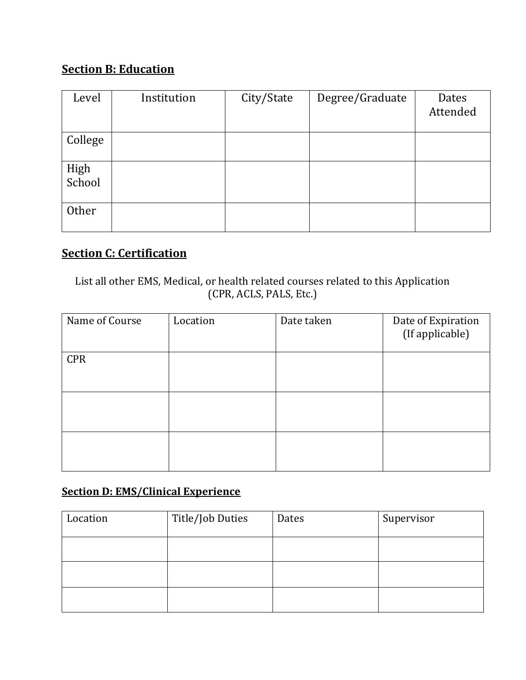# **Section B: Education**

| Level          | Institution | City/State | Degree/Graduate | Dates<br>Attended |
|----------------|-------------|------------|-----------------|-------------------|
| College        |             |            |                 |                   |
| High<br>School |             |            |                 |                   |
| Other          |             |            |                 |                   |

# **Section C: Certification**

List all other EMS, Medical, or health related courses related to this Application (CPR, ACLS, PALS, Etc.)

| Name of Course | Location | Date taken | Date of Expiration<br>(If applicable) |
|----------------|----------|------------|---------------------------------------|
| <b>CPR</b>     |          |            |                                       |
|                |          |            |                                       |
|                |          |            |                                       |

# **Section D: EMS/Clinical Experience**

| Location | Title/Job Duties | Dates | Supervisor |
|----------|------------------|-------|------------|
|          |                  |       |            |
|          |                  |       |            |
|          |                  |       |            |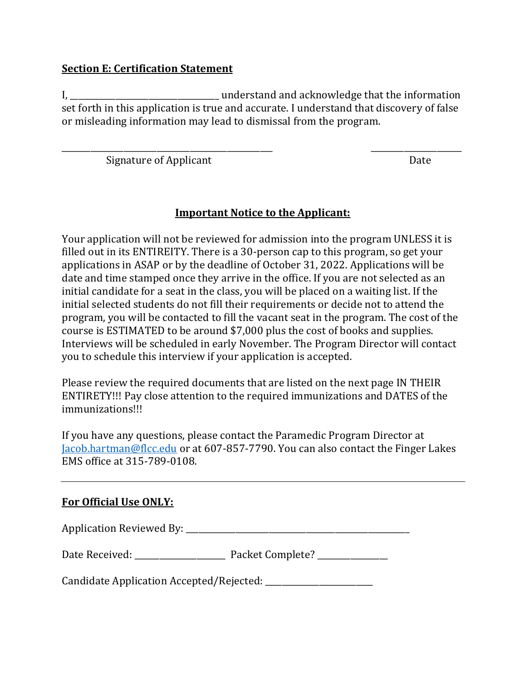#### **Section E: Certification Statement**

I, \_\_\_\_\_\_\_\_\_\_\_\_\_\_\_\_\_\_\_\_\_\_\_\_\_\_\_\_\_\_\_\_\_\_\_\_ understand and acknowledge that the information set forth in this application is true and accurate. I understand that discovery of false or misleading information may lead to dismissal from the program.

\_\_\_\_\_\_\_\_\_\_\_\_\_\_\_\_\_\_\_\_\_\_\_\_\_\_\_\_\_\_\_\_\_\_\_\_\_\_\_\_\_\_\_\_\_\_\_\_\_\_\_ \_\_\_\_\_\_\_\_\_\_\_\_\_\_\_\_\_\_\_\_\_\_

Signature of Applicant Date Date Date

#### **Important Notice to the Applicant:**

Your application will not be reviewed for admission into the program UNLESS it is filled out in its ENTIREITY. There is a 30-person cap to this program, so get your applications in ASAP or by the deadline of October 31, 2022. Applications will be date and time stamped once they arrive in the office. If you are not selected as an initial candidate for a seat in the class, you will be placed on a waiting list. If the initial selected students do not fill their requirements or decide not to attend the program, you will be contacted to fill the vacant seat in the program. The cost of the course is ESTIMATED to be around \$7,000 plus the cost of books and supplies. Interviews will be scheduled in early November. The Program Director will contact you to schedule this interview if your application is accepted.

Please review the required documents that are listed on the next page IN THEIR ENTIRETY!!! Pay close attention to the required immunizations and DATES of the immunizations!!!

If you have any questions, please contact the Paramedic Program Director at [Jacob.hartman@flcc.edu](mailto:Jacob.hartman@flcc.edu) or at 607-857-7790. You can also contact the Finger Lakes EMS office at 315-789-0108.

#### **For Official Use ONLY:**

Application Reviewed By: \_\_\_\_\_\_\_\_\_\_\_\_\_\_\_\_\_\_\_\_\_\_\_\_\_\_\_\_\_\_\_\_\_\_\_\_\_\_\_\_\_\_\_\_\_\_\_\_\_\_\_\_\_\_

Date Received: \_\_\_\_\_\_\_\_\_\_\_\_\_\_\_\_\_\_\_\_\_\_ Packet Complete? \_\_\_\_\_\_\_\_\_\_\_\_\_\_\_\_\_

Candidate Application Accepted/Rejected: \_\_\_\_\_\_\_\_\_\_\_\_\_\_\_\_\_\_\_\_\_\_\_\_\_\_